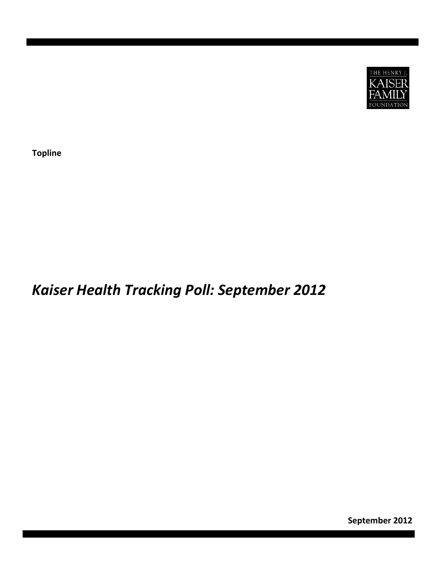

**Topline**

# *Kaiser Health Tracking Poll: September 2012*

**September 2012**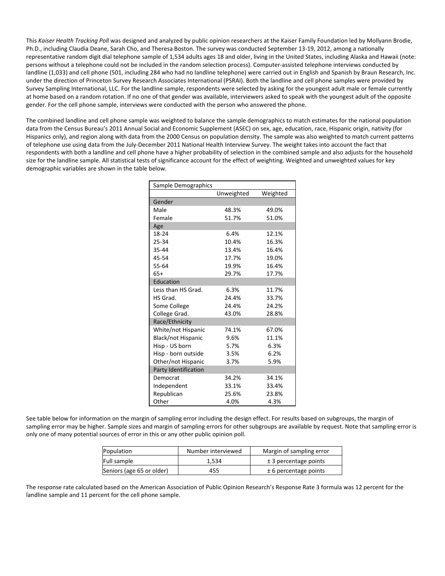This *Kaiser Health Tracking Poll* was designed and analyzed by public opinion researchers at the Kaiser Family Foundation led by Mollyann Brodie, Ph.D., including Claudia Deane, Sarah Cho, and Theresa Boston. The survey was conducted September 13‐19, 2012, among a nationally representative random digit dial telephone sample of 1,534 adults ages 18 and older, living in the United States, including Alaska and Hawaii (note: persons without a telephone could not be included in the random selection process). Computer‐assisted telephone interviews conducted by landline (1,033) and cell phone (501, including 284 who had no landline telephone) were carried out in English and Spanish by Braun Research, Inc. under the direction of Princeton Survey Research Associates International (PSRAI). Both the landline and cell phone samples were provided by Survey Sampling International, LLC. For the landline sample, respondents were selected by asking for the youngest adult male or female currently at home based on a random rotation. If no one of that gender was available, interviewers asked to speak with the youngest adult of the opposite gender. For the cell phone sample, interviews were conducted with the person who answered the phone.

The combined landline and cell phone sample was weighted to balance the sample demographics to match estimates for the national population data from the Census Bureau's 2011 Annual Social and Economic Supplement (ASEC) on sex, age, education, race, Hispanic origin, nativity (for Hispanics only), and region along with data from the 2000 Census on population density. The sample was also weighted to match current patterns of telephone use using data from the July‐December 2011 National Health Interview Survey. The weight takes into account the fact that respondents with both a landline and cell phone have a higher probability of selection in the combined sample and also adjusts for the household size for the landline sample. All statistical tests of significance account for the effect of weighting. Weighted and unweighted values for key demographic variables are shown in the table below.

| Sample Demographics       |            |          |  |  |  |
|---------------------------|------------|----------|--|--|--|
|                           | Unweighted | Weighted |  |  |  |
| Gender                    |            |          |  |  |  |
| Male                      | 48.3%      | 49.0%    |  |  |  |
| Female                    | 51.7%      | 51.0%    |  |  |  |
| Age                       |            |          |  |  |  |
| 18-24                     | 6.4%       | 12.1%    |  |  |  |
| 25-34                     | 10.4%      | 16.3%    |  |  |  |
| 35-44                     | 13.4%      | 16.4%    |  |  |  |
| 45-54                     | 17.7%      | 19.0%    |  |  |  |
| 55-64                     | 19.9%      | 16.4%    |  |  |  |
| $65+$                     | 29.7%      | 17.7%    |  |  |  |
| Education                 |            |          |  |  |  |
| Less than HS Grad.        | 6.3%       | 11.7%    |  |  |  |
| HS Grad.                  | 24.4%      | 33.7%    |  |  |  |
| Some College              | 24.4%      | 24.2%    |  |  |  |
| College Grad.             | 43.0%      | 28.8%    |  |  |  |
| Race/Ethnicity            |            |          |  |  |  |
| White/not Hispanic        | 74.1%      | 67.0%    |  |  |  |
| <b>Black/not Hispanic</b> | 9.6%       | 11.1%    |  |  |  |
| Hisp - US born            | 5.7%       | 6.3%     |  |  |  |
| Hisp - born outside       | 3.5%       | 6.2%     |  |  |  |
| Other/not Hispanic        | 3.7%       | 5.9%     |  |  |  |
| Party Identification      |            |          |  |  |  |
| Democrat                  | 34.2%      | 34.1%    |  |  |  |
| Independent               | 33.1%      | 33.4%    |  |  |  |
| Republican                | 25.6%      | 23.8%    |  |  |  |
| Other                     | 4.0%       | 4.3%     |  |  |  |

See table below for information on the margin of sampling error including the design effect. For results based on subgroups, the margin of sampling error may be higher. Sample sizes and margin of sampling errors for other subgroups are available by request. Note that sampling error is only one of many potential sources of error in this or any other public opinion poll.

| Population                | Number interviewed | Margin of sampling error  |
|---------------------------|--------------------|---------------------------|
| Full sample               | 1.534              | $\pm$ 3 percentage points |
| Seniors (age 65 or older) | 455                | $± 6$ percentage points   |

The response rate calculated based on the American Association of Public Opinion Research's Response Rate 3 formula was 12 percent for the landline sample and 11 percent for the cell phone sample.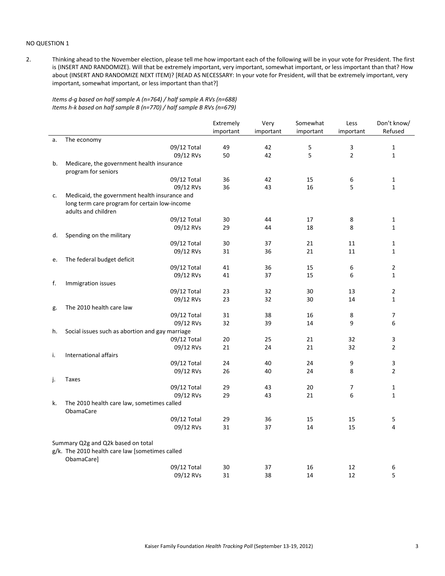#### NO QUESTION 1

2. Thinking ahead to the November election, please tell me how important each of the following will be in your vote for President. The first is (INSERT AND RANDOMIZE). Will that be extremely important, very important, somewhat important, or less important than that? How about (INSERT AND RANDOMIZE NEXT ITEM)? [READ AS NECESSARY: In your vote for President, will that be extremely important, very important, somewhat important, or less important than that?]

*Items d‐g based on half sample A (n=764) / half sample A RVs (n=688) Items h‐k based on half sample B (n=770) / half sample B RVs (n=679)*

|    |                                                                | Extremely | Very      | Somewhat  | Less           | Don't know/    |
|----|----------------------------------------------------------------|-----------|-----------|-----------|----------------|----------------|
|    |                                                                | important | important | important | important      | Refused        |
| a. | The economy                                                    |           |           |           |                |                |
|    | 09/12 Total                                                    | 49        | 42        | 5         | 3              | 1              |
|    | 09/12 RVs                                                      | 50        | 42        | 5         | $\overline{2}$ | $\mathbf{1}$   |
| b. | Medicare, the government health insurance                      |           |           |           |                |                |
|    | program for seniors                                            |           |           |           |                |                |
|    | 09/12 Total                                                    | 36        | 42        | 15        | 6              | $\mathbf{1}$   |
|    | 09/12 RVs                                                      | 36        | 43        | 16        | 5              | $\mathbf{1}$   |
| c. | Medicaid, the government health insurance and                  |           |           |           |                |                |
|    | long term care program for certain low-income                  |           |           |           |                |                |
|    | adults and children                                            |           |           |           |                |                |
|    | 09/12 Total                                                    | 30        | 44        | 17        | 8              | 1              |
|    | 09/12 RVs                                                      | 29        | 44        | 18        | 8              | $\mathbf{1}$   |
| d. | Spending on the military                                       |           |           |           |                |                |
|    | 09/12 Total                                                    | 30        | 37        | 21        | 11             | 1              |
|    | 09/12 RVs                                                      | 31        | 36        | 21        | 11             | $\mathbf{1}$   |
| e. | The federal budget deficit                                     |           |           |           |                |                |
|    | 09/12 Total                                                    | 41        | 36        | 15        | 6              | 2              |
|    | 09/12 RVs                                                      | 41        | 37        | 15        | 6              | $\mathbf{1}$   |
| f. | Immigration issues                                             |           |           |           |                |                |
|    | 09/12 Total                                                    | 23        | 32        | 30        | 13             | 2              |
|    | 09/12 RVs                                                      | 23        | 32        | 30        | 14             | $\mathbf{1}$   |
| g. | The 2010 health care law                                       |           |           |           |                |                |
|    | 09/12 Total                                                    | 31        | 38        | 16        | 8              | 7              |
|    | 09/12 RVs                                                      | 32        | 39        | 14        | 9              | 6              |
| h. | Social issues such as abortion and gay marriage                |           |           |           |                |                |
|    | 09/12 Total                                                    | 20        | 25        | 21        | 32             | 3              |
|    | 09/12 RVs                                                      | 21        | 24        | 21        | 32             | $\overline{2}$ |
| i. | International affairs                                          |           |           |           |                |                |
|    | 09/12 Total                                                    | 24        | 40        | 24        | 9              | 3              |
|    | 09/12 RVs                                                      | 26        | 40        | 24        | 8              | $\overline{2}$ |
| j. | <b>Taxes</b>                                                   |           |           |           |                |                |
|    | 09/12 Total                                                    | 29        | 43        | 20        | 7              | 1              |
|    | 09/12 RVs                                                      | 29        | 43        | 21        | 6              | $\mathbf{1}$   |
| k. | The 2010 health care law, sometimes called<br><b>ObamaCare</b> |           |           |           |                |                |
|    | 09/12 Total                                                    | 29        | 36        | 15        | 15             | 5              |
|    | 09/12 RVs                                                      | 31        | 37        | 14        | 15             | 4              |
|    |                                                                |           |           |           |                |                |
|    | Summary Q2g and Q2k based on total                             |           |           |           |                |                |
|    | g/k. The 2010 health care law [sometimes called                |           |           |           |                |                |
|    | ObamaCare]                                                     |           |           |           |                |                |
|    | 09/12 Total                                                    | 30        | 37        | 16        | 12             | 6              |
|    | 09/12 RVs                                                      | 31        | 38        | 14        | 12             | 5              |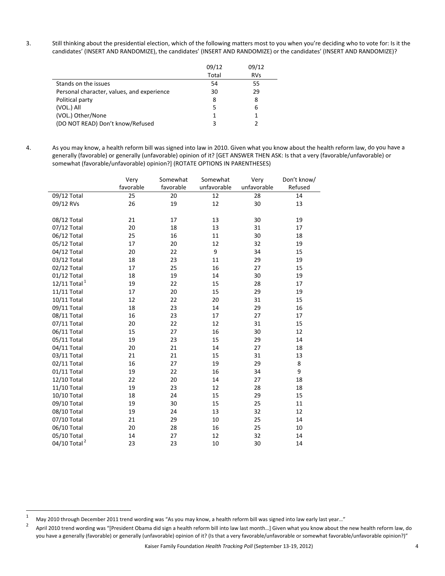3. Still thinking about the presidential election, which of the following matters most to you when you're deciding who to vote for: Is it the candidates' (INSERT AND RANDOMIZE), the candidates' (INSERT AND RANDOMIZE) or the candidates' (INSERT AND RANDOMIZE)?

|                                            | 09/12 | 09/12      |
|--------------------------------------------|-------|------------|
|                                            | Total | <b>RVs</b> |
| Stands on the issues                       | 54    | 55         |
| Personal character, values, and experience | 30    | 29         |
| Political party                            | 8     | 8          |
| (VOL.) All                                 | 5     | 6          |
| (VOL.) Other/None                          |       |            |
| (DO NOT READ) Don't know/Refused           | ς     |            |

4. As you may know, a health reform bill was signed into law in 2010. Given what you know about the health reform law, do you have a generally (favorable) or generally (unfavorable) opinion of it? [GET ANSWER THEN ASK: Is that a very (favorable/unfavorable) or somewhat (favorable/unfavorable) opinion?] (ROTATE OPTIONS IN PARENTHESES)

|                          | Very      | Somewhat  | Somewhat    | Very        | Don't know/ |
|--------------------------|-----------|-----------|-------------|-------------|-------------|
|                          | favorable | favorable | unfavorable | unfavorable | Refused     |
| 09/12 Total              | 25        | 20        | 12          | 28          | 14          |
| 09/12 RVs                | 26        | 19        | 12          | 30          | 13          |
|                          |           |           |             |             |             |
| 08/12 Total              | 21        | 17        | 13          | 30          | 19          |
| 07/12 Total              | 20        | 18        | 13          | 31          | 17          |
| 06/12 Total              | 25        | 16        | 11          | 30          | 18          |
| 05/12 Total              | 17        | 20        | 12          | 32          | 19          |
| 04/12 Total              | 20        | 22        | 9           | 34          | 15          |
| 03/12 Total              | 18        | 23        | 11          | 29          | 19          |
| 02/12 Total              | 17        | 25        | 16          | 27          | 15          |
| 01/12 Total              | 18        | 19        | 14          | 30          | 19          |
| 12/11 Total $^1$         | 19        | 22        | 15          | 28          | 17          |
| 11/11 Total              | 17        | 20        | 15          | 29          | 19          |
| 10/11 Total              | 12        | 22        | 20          | 31          | 15          |
| 09/11 Total              | 18        | 23        | 14          | 29          | 16          |
| 08/11 Total              | 16        | 23        | 17          | 27          | 17          |
| 07/11 Total              | 20        | 22        | 12          | 31          | 15          |
| 06/11 Total              | 15        | 27        | 16          | 30          | 12          |
| 05/11 Total              | 19        | 23        | 15          | 29          | 14          |
| 04/11 Total              | 20        | 21        | 14          | 27          | 18          |
| 03/11 Total              | 21        | 21        | 15          | 31          | 13          |
| 02/11 Total              | 16        | 27        | 19          | 29          | 8           |
| 01/11 Total              | 19        | 22        | 16          | 34          | 9           |
| 12/10 Total              | 22        | 20        | 14          | 27          | 18          |
| 11/10 Total              | 19        | 23        | 12          | 28          | 18          |
| 10/10 Total              | 18        | 24        | 15          | 29          | 15          |
| 09/10 Total              | 19        | 30        | 15          | 25          | 11          |
| 08/10 Total              | 19        | 24        | 13          | 32          | 12          |
| 07/10 Total              | 21        | 29        | 10          | 25          | 14          |
| 06/10 Total              | 20        | 28        | 16          | 25          | 10          |
| 05/10 Total              | 14        | 27        | 12          | 32          | 14          |
| 04/10 Total <sup>2</sup> | 23        | 23        | 10          | 30          | 14          |

<sup>1</sup> May 2010 through December 2011 trend wording was "As you may know, a health reform bill was signed into law early last year..."<br>2 Accidental part in the confirmed into the state of the last year bill into law the change

April 2010 trend wording was "[President Obama did sign a health reform bill into law last month...] Given what you know about the new health reform law, do you have a generally (favorable) or generally (unfavorable) opinion of it? (Is that a very favorable/unfavorable or somewhat favorable/unfavorable opinion?)"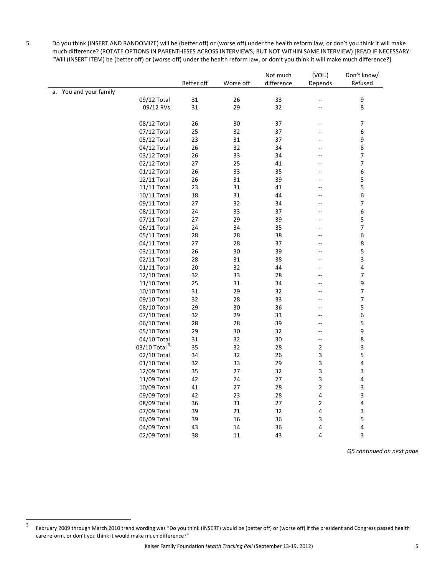5. Do you think (INSERT AND RANDOMIZE) will be (better off) or (worse off) under the health reform law, or don't you think it will make much difference? (ROTATE OPTIONS IN PARENTHESES ACROSS INTERVIEWS, BUT NOT WITHIN SAME INTERVIEW) [READ IF NECESSARY: "Will (INSERT ITEM) be (better off) or (worse off) under the health reform law, or don't you think it will make much difference?]

|                          |            |           | Not much   | (VOL.)                   | Don't know/      |
|--------------------------|------------|-----------|------------|--------------------------|------------------|
|                          | Better off | Worse off | difference | Depends                  | Refused          |
| a. You and your family   |            |           |            |                          |                  |
| 09/12 Total              | 31         | 26        | 33         |                          | $\mathsf 9$      |
| 09/12 RVs                | 31         | 29        | 32         |                          | 8                |
|                          |            |           |            |                          |                  |
| 08/12 Total              | 26         | 30        | 37         | --                       | 7                |
| 07/12 Total              | 25         | 32        | 37         | $-$                      | 6                |
| 05/12 Total              | 23         | 31        | 37         |                          | 9                |
| 04/12 Total              | 26         | 32        | 34         | $-$                      | 8                |
| 03/12 Total              | 26         | 33        | 34         |                          | 7                |
| 02/12 Total              | 27         | 25        | 41         | --                       | 7                |
| 01/12 Total              | 26         | 33        | 35         |                          | 6                |
| 12/11 Total              | 26         | 31        | 39         | $-$                      | 5                |
| 11/11 Total              | 23         | 31        | 41         | --                       | 5                |
| 10/11 Total              | 18         | 31        | 44         | $-$                      | 6                |
| 09/11 Total              | 27         | 32        | 34         | $\overline{a}$           | 7                |
| 08/11 Total              | 24         | 33        | 37         | $-$                      | 6                |
| 07/11 Total              | 27         | 29        | 39         | $-$                      | 5                |
| 06/11 Total              | 24         | 34        | 35         | --                       | 7                |
| 05/11 Total              | 28         | 28        | 38         | --                       | 6                |
| 04/11 Total              | 27         | 28        | 37         | $\overline{a}$           | 8                |
| 03/11 Total              | 26         | 30        | 39         | $\overline{a}$           | 5                |
| 02/11 Total              | 28         | 31        | 38         | $-$                      | 3                |
| 01/11 Total              | 20         | 32        | 44         |                          | 4                |
| 12/10 Total              | 32         | 33        | 28         | --                       | 7                |
| 11/10 Total              | 25         | 31        | 34         | $-$                      | $\boldsymbol{9}$ |
| 10/10 Total              | 31         | 29        | 32         | --                       | 7                |
| 09/10 Total              | 32         | 28        | 33         | $-$                      | 7                |
| 08/10 Total              | 29         | 30        | 36         | --                       | 5                |
| 07/10 Total              | 32         | 29        | 33         | $-$                      | 6                |
| 06/10 Total              | 28         | 28        | 39         | $\overline{a}$           | 5                |
| 05/10 Total              | 29         | 30        | 32         | $\overline{a}$           | 9                |
| 04/10 Total              | 31         | 32        | 30         | $\overline{\phantom{a}}$ | 8                |
| 03/10 Total <sup>3</sup> | 35         | 32        | 28         | $\overline{2}$           | 3                |
| 02/10 Total              | 34         | 32        | 26         | 3                        | 5                |
| 01/10 Total              | 32         | 33        | 29         | 3                        | 4                |
| 12/09 Total              | 35         | 27        | 32         | 3                        | 3                |
| 11/09 Total              | 42         | 24        | 27         | 3                        | 4                |
| 10/09 Total              | 41         | 27        | 28         | $\overline{\mathbf{c}}$  | 3                |
| 09/09 Total              | 42         | 23        | 28         | 4                        | 3                |
| 08/09 Total              | 36         | 31        | 27         | 2                        | 4                |
| 07/09 Total              | 39         | 21        | 32         | 4                        | 3                |
| 06/09 Total              | 39         | 16        | 36         | 3                        | 5                |
| 04/09 Total              | 43         | 14        | 36         | 4                        | 4                |
| 02/09 Total              | 38         | 11        | 43         | 4                        | 3                |

*Q5 continued on next page*

<sup>&</sup>lt;sup>3</sup> February 2009 through March 2010 trend wording was "Do you think (INSERT) would be (better off) or (worse off) if the president and Congress passed health care reform, or don't you think it would make much difference?"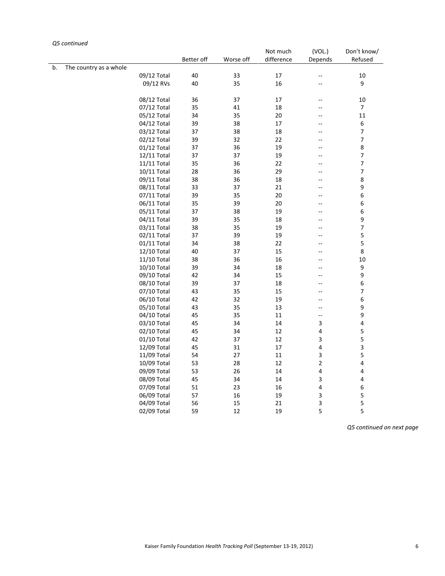#### Better off Worse off Not much difference (VOL.) Depends Don't know/ Refused b. The country as a whole  $09/12$  Total  $40$   $33$   $17$   $10$ 09/12 Total 40 33 17 -- 10<br>09/12 RVs 40 35 16 -- 9 09/12 RVs 40 35 16 --08/12 Total 36 37 17 -- 10 07/12 Total 35 41 18 -- 7<br>05/12 Total 34 35 20 -- 11 05/12 Total 34 35 20 --04/12 Total 39 38 17 -- 6<br>03/12 Total 37 38 18 -- 7 03/12 Total 37 38 18 - 7<br>02/12 Total 39 32 22 - 7 02/12 Total 39 32 22 -01/12 Total 37 36 19 -- 8 12/11 Total 37 37 19 -- 7<br>11/11 Total 35 36 22 -- 7 11/11 Total 35 36 22 --10/11 Total 28 36 29 -- 7<br>09/11 Total 38 36 18 -- 8 09/11 Total 38 36 18 -- 8<br>08/11 Total 33 37 21 -- 9 08/11 Total 33 37 21 -07/11 Total 39 35 20 - 6 06/11 Total 35 39 20 -- 6<br>05/11 Total 37 38 19 -- 6 05/11 Total 37 38 19 --04/11 Total 39 35 18 -- 9<br>03/11 Total 38 35 19 -- 7 03/11 Total 38 35 19 -- 7<br>02/11 Total 37 39 19 -- 5 02/11 Total 37 39 19 --01/11 Total 34 38 22 -- 5 12/10 Total 40 37 15 - 8 11/10 Total 38 36 16 -- 10 10/10 Total 39 34 18 -- 9<br>09/10 Total 42 34 15 -- 9 09/10 Total 42 34 15 -08/10 Total 39 37 18 - 6 07/10 Total 43 35 15 -- 7<br>06/10 Total 42 32 19 -- 6 06/10 Total 42 32 19 --05/10 Total 43 35 13 -- 9 04/10 Total 45 35 11 - 9<br>03/10 Total 45 34 14 3 4 03/10 Total 02/10 Total 45 34 12 4 5<br>01/10 Total 42 37 12 3 5 01/10 Total 42 37 12 3 5<br>12/09 Total 45 31 17 4 3 12/09 Total 45 31 17 4 11/09 Total 54 27 11 3 5 10/09 Total 53 28 12 2 4<br>09/09 Total 53 26 14 4 4 09/09 Total 08/09 Total 45 34 14 3 4 07/09 Total 51 23 16 4 6 06/09 Total 57 16 19 3 5 04/09 Total 56 15 21 3 5 02/09 Total 59 12 19 5 5

*Q5 continued*

*Q5 continued on next page*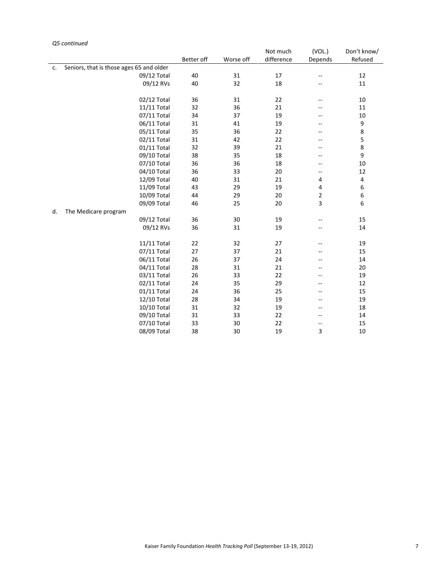## *Q5 continued*

|    |                                          |            |           | Not much   | (VOL.)                   | Don't know/ |
|----|------------------------------------------|------------|-----------|------------|--------------------------|-------------|
|    |                                          | Better off | Worse off | difference | Depends                  | Refused     |
| c. | Seniors, that is those ages 65 and older |            |           |            |                          |             |
|    | 09/12 Total                              | 40         | 31        | 17         | $-\!$                    | 12          |
|    | 09/12 RVs                                | 40         | 32        | 18         | --                       | 11          |
|    |                                          |            |           |            |                          |             |
|    | 02/12 Total                              | 36         | 31        | 22         | $-$                      | 10          |
|    | 11/11 Total                              | 32         | 36        | 21         | --                       | 11          |
|    | 07/11 Total                              | 34         | 37        | 19         | --                       | 10          |
|    | 06/11 Total                              | 31         | 41        | 19         | $-$                      | 9           |
|    | 05/11 Total                              | 35         | 36        | 22         | --                       | 8           |
|    | 02/11 Total                              | 31         | 42        | 22         | --                       | 5           |
|    | 01/11 Total                              | 32         | 39        | 21         | $-$                      | 8           |
|    | 09/10 Total                              | 38         | 35        | 18         | $\overline{\phantom{a}}$ | 9           |
|    | 07/10 Total                              | 36         | 36        | 18         | $\overline{\phantom{a}}$ | 10          |
|    | 04/10 Total                              | 36         | 33        | 20         | $-$                      | 12          |
|    | 12/09 Total                              | 40         | 31        | 21         | 4                        | 4           |
|    | 11/09 Total                              | 43         | 29        | 19         | 4                        | 6           |
|    | 10/09 Total                              | 44         | 29        | 20         | $\overline{2}$           | 6           |
|    | 09/09 Total                              | 46         | 25        | 20         | 3                        | 6           |
| d. | The Medicare program                     |            |           |            |                          |             |
|    | 09/12 Total                              | 36         | 30        | 19         | $-$                      | 15          |
|    | 09/12 RVs                                | 36         | 31        | 19         | $\overline{a}$           | 14          |
|    |                                          |            |           |            |                          |             |
|    | 11/11 Total                              | 22         | 32        | 27         | --                       | 19          |
|    | 07/11 Total                              | 27         | 37        | 21         |                          | 15          |
|    | 06/11 Total                              | 26         | 37        | 24         | --                       | 14          |
|    | 04/11 Total                              | 28         | 31        | 21         |                          | 20          |
|    | 03/11 Total                              | 26         | 33        | 22         | $-$                      | 19          |
|    | 02/11 Total                              | 24         | 35        | 29         | --                       | 12          |
|    | 01/11 Total                              | 24         | 36        | 25         | --                       | 15          |
|    | 12/10 Total                              | 28         | 34        | 19         | --                       | 19          |
|    | 10/10 Total                              | 31         | 32        | 19         | $\overline{\phantom{a}}$ | 18          |
|    | 09/10 Total                              | 31         | 33        | 22         | $-\!$                    | 14          |
|    | 07/10 Total                              | 33         | 30        | 22         | $-$                      | 15          |
|    | 08/09 Total                              | 38         | 30        | 19         | 3                        | 10          |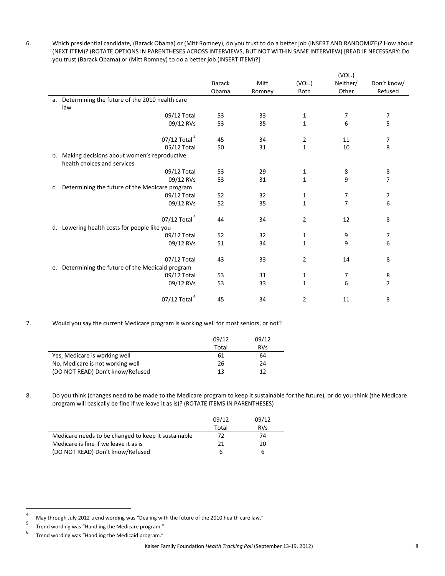6. Which presidential candidate, (Barack Obama) or (Mitt Romney), do you trust to do a better job (INSERT AND RANDOMIZE)? How about (NEXT ITEM)? (ROTATE OPTIONS IN PARENTHESES ACROSS INTERVIEWS, BUT NOT WITHIN SAME INTERVIEW) [READ IF NECESSARY: Do you trust (Barack Obama) or (Mitt Romney) to do a better job (INSERT ITEM)?]

|    |                                                   |               |        |              | (VOL.)         |                          |
|----|---------------------------------------------------|---------------|--------|--------------|----------------|--------------------------|
|    |                                                   | <b>Barack</b> | Mitt   | (VOL.)       | Neither/       | Don't know/              |
|    |                                                   | Obama         | Romney | <b>Both</b>  | Other          | Refused                  |
| a. | Determining the future of the 2010 health care    |               |        |              |                |                          |
|    | law                                               |               |        |              |                |                          |
|    | 09/12 Total                                       | 53            | 33     | $\mathbf{1}$ | 7              | $\boldsymbol{7}$         |
|    | 09/12 RVs                                         | 53            | 35     | 1            | 6              | 5                        |
|    | 07/12 Total <sup>4</sup>                          | 45            | 34     | 2            | 11             | 7                        |
|    | 05/12 Total                                       | 50            | 31     | $\mathbf{1}$ | 10             | 8                        |
| b. | Making decisions about women's reproductive       |               |        |              |                |                          |
|    | health choices and services                       |               |        |              |                |                          |
|    | 09/12 Total                                       | 53            | 29     | 1            | 8              | 8                        |
|    | 09/12 RVs                                         | 53            | 31     | 1            | 9              | $\overline{\phantom{a}}$ |
| c. | Determining the future of the Medicare program    |               |        |              |                |                          |
|    | 09/12 Total                                       | 52            | 32     | 1            | 7              | 7                        |
|    | 09/12 RVs                                         | 52            | 35     | $\mathbf{1}$ | $\overline{7}$ | 6                        |
|    | 07/12 Total <sup>5</sup>                          | 44            | 34     | 2            | 12             | 8                        |
| d. | Lowering health costs for people like you         |               |        |              |                |                          |
|    | 09/12 Total                                       | 52            | 32     | 1            | 9              | 7                        |
|    | 09/12 RVs                                         | 51            | 34     | 1            | 9              | 6                        |
|    | 07/12 Total                                       | 43            | 33     | 2            | 14             | 8                        |
|    | e. Determining the future of the Medicaid program |               |        |              |                |                          |
|    | 09/12 Total                                       | 53            | 31     | 1            | 7              | 8                        |
|    | 09/12 RVs                                         | 53            | 33     | 1            | 6              | $\overline{7}$           |
|    | 07/12 Total <sup>6</sup>                          | 45            | 34     | 2            | 11             | 8                        |

## 7. Would you say the current Medicare program is working well for most seniors, or not?

|                                  | 09/12 | 09/12      |
|----------------------------------|-------|------------|
|                                  | Total | <b>RVs</b> |
| Yes, Medicare is working well    | 61    | 64         |
| No, Medicare is not working well | 26    | 24         |
| (DO NOT READ) Don't know/Refused | 13    | 12         |

8. Do you think (changes need to be made to the Medicare program to keep it sustainable for the future), or do you think (the Medicare program will basically be fine if we leave it as is)? (ROTATE ITEMS IN PARENTHESES)

|                                                     | 09/12 | 09/12      |
|-----------------------------------------------------|-------|------------|
|                                                     | Total | <b>RVs</b> |
| Medicare needs to be changed to keep it sustainable | 72    | 74         |
| Medicare is fine if we leave it as is               | 21    | 20         |
| (DO NOT READ) Don't know/Refused                    |       | 6          |

<sup>4</sup> May through July 2012 trend wording was "Dealing with the future of the 2010 health care law."

<sup>5</sup> Trend wording was "Handling the Medicare program."

<sup>6</sup> Trend wording was "Handling the Medicaid program."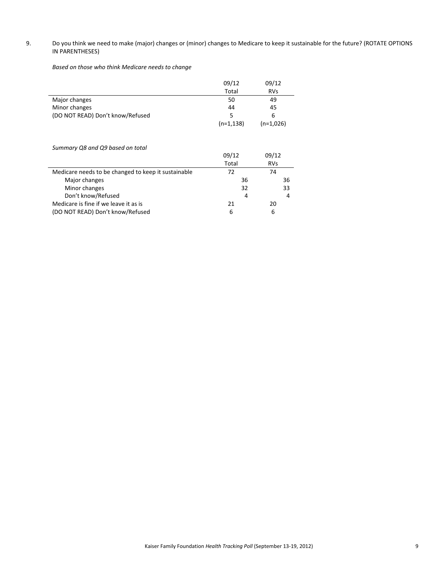## 9. Do you think we need to make (major) changes or (minor) changes to Medicare to keep it sustainable for the future? (ROTATE OPTIONS IN PARENTHESES)

*Based on those who think Medicare needs to change*

|                                  | 09/12        | 09/12       |
|----------------------------------|--------------|-------------|
|                                  | Total        | <b>RVs</b>  |
| Major changes                    | 50           | 49          |
| Minor changes                    | 44           | 45          |
| (DO NOT READ) Don't know/Refused | 5            | 6           |
|                                  | $(n=1, 138)$ | $(n=1,026)$ |

*Summary Q8 and Q9 based on total*

|                                                     | 09/12 | 09/12      |
|-----------------------------------------------------|-------|------------|
|                                                     | Total | <b>RVs</b> |
| Medicare needs to be changed to keep it sustainable | 72    | 74         |
| Major changes                                       | 36    | 36         |
| Minor changes                                       | 32    | 33         |
| Don't know/Refused                                  | 4     | 4          |
| Medicare is fine if we leave it as is               | 21    | 20         |
| (DO NOT READ) Don't know/Refused                    | 6     | 6          |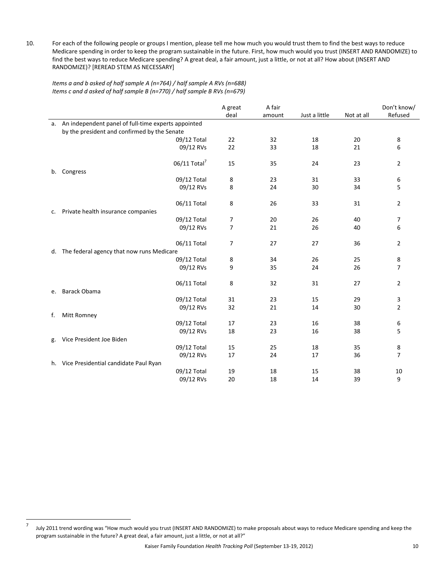10. For each of the following people or groups I mention, please tell me how much you would trust them to find the best ways to reduce Medicare spending in order to keep the program sustainable in the future. First, how much would you trust (INSERT AND RANDOMIZE) to find the best ways to reduce Medicare spending? A great deal, a fair amount, just a little, or not at all? How about (INSERT AND RANDOMIZE)? [REREAD STEM AS NECESSARY]

*Items a and b asked of half sample A (n=764) / half sample A RVs (n=688) Items c and d asked of half sample B (n=770) / half sample B RVs (n=679)*

|    |                                                             | A great        | A fair |               |            | Don't know/    |
|----|-------------------------------------------------------------|----------------|--------|---------------|------------|----------------|
|    |                                                             | deal           | amount | Just a little | Not at all | Refused        |
| a. | An independent panel of full-time experts appointed         |                |        |               |            |                |
|    | by the president and confirmed by the Senate                |                |        |               |            |                |
|    | 09/12 Total                                                 | 22             | 32     | 18            | 20         | 8              |
|    | 09/12 RVs                                                   | 22             | 33     | 18            | 21         | 6              |
|    | 06/11 Total <sup>7</sup><br>b. Congress                     | 15             | 35     | 24            | 23         | $\overline{2}$ |
|    | 09/12 Total                                                 | 8              | 23     | 31            | 33         | 6              |
|    | 09/12 RVs                                                   | 8              | 24     | 30            | 34         | 5              |
| c. | 06/11 Total<br>Private health insurance companies           | 8              | 26     | 33            | 31         | 2              |
|    | 09/12 Total                                                 | 7              | 20     | 26            | 40         | 7              |
|    | 09/12 RVs                                                   | $\overline{7}$ | 21     | 26            | 40         | 6              |
|    | 06/11 Total<br>d. The federal agency that now runs Medicare | 7              | 27     | 27            | 36         | $\overline{2}$ |
|    | 09/12 Total                                                 | 8              | 34     | 26            | 25         | 8              |
|    | 09/12 RVs                                                   | 9              | 35     | 24            | 26         | 7              |
| e. | 06/11 Total<br><b>Barack Obama</b>                          | 8              | 32     | 31            | 27         | $\overline{2}$ |
|    | 09/12 Total                                                 | 31             | 23     | 15            | 29         | 3              |
|    | 09/12 RVs                                                   | 32             | 21     | 14            | 30         | $\overline{2}$ |
| f. | Mitt Romney                                                 |                |        |               |            |                |
|    | 09/12 Total                                                 | 17             | 23     | 16            | 38         | 6              |
|    | 09/12 RVs<br>Vice President Joe Biden                       | 18             | 23     | 16            | 38         | 5              |
| g. | 09/12 Total                                                 | 15             | 25     | 18            | 35         | 8              |
|    | 09/12 RVs                                                   | 17             | 24     | 17            | 36         | 7              |
|    | h. Vice Presidential candidate Paul Ryan                    |                |        |               |            |                |
|    | 09/12 Total                                                 | 19             | 18     | 15            | 38         | 10             |
|    | 09/12 RVs                                                   | 20             | 18     | 14            | 39         | 9              |

<sup>7</sup> July 2011 trend wording was "How much would you trust (INSERT AND RANDOMIZE) to make proposals about ways to reduce Medicare spending and keep the program sustainable in the future? A great deal, a fair amount, just a little, or not at all?"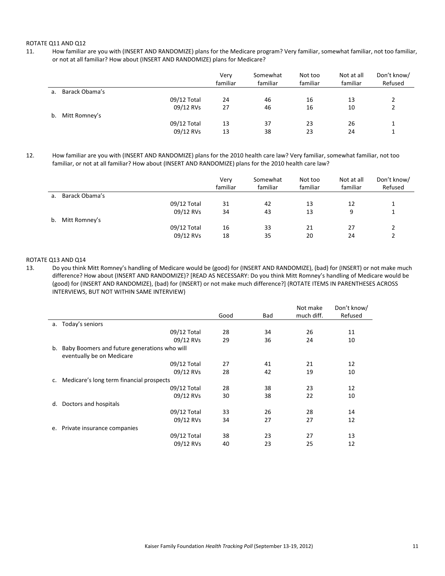#### ROTATE Q11 AND Q12

11. How familiar are you with (INSERT AND RANDOMIZE) plans for the Medicare program? Very familiar, somewhat familiar, not too familiar, or not at all familiar? How about (INSERT AND RANDOMIZE) plans for Medicare?

|    |                |             | Very<br>familiar | Somewhat<br>familiar | Not too<br>familiar | Not at all<br>familiar | Don't know/<br>Refused |
|----|----------------|-------------|------------------|----------------------|---------------------|------------------------|------------------------|
| a. | Barack Obama's |             |                  |                      |                     |                        |                        |
|    |                | 09/12 Total | 24               | 46                   | 16                  | 13                     |                        |
|    |                | 09/12 RVs   | 27               | 46                   | 16                  | 10                     |                        |
| b. | Mitt Romney's  |             |                  |                      |                     |                        |                        |
|    |                | 09/12 Total | 13               | 37                   | 23                  | 26                     |                        |
|    |                | 09/12 RVs   | 13               | 38                   | 23                  | 24                     |                        |

12. How familiar are you with (INSERT AND RANDOMIZE) plans for the 2010 health care law? Very familiar, somewhat familiar, not too familiar, or not at all familiar? How about (INSERT AND RANDOMIZE) plans for the 2010 health care law?

|    |                |             | Very<br>familiar | Somewhat<br>familiar | Not too<br>familiar | Not at all<br>familiar | Don't know/<br>Refused |
|----|----------------|-------------|------------------|----------------------|---------------------|------------------------|------------------------|
| a. | Barack Obama's |             |                  |                      |                     |                        |                        |
|    |                | 09/12 Total | 31               | 42                   | 13                  | 12                     |                        |
|    |                | 09/12 RVs   | 34               | 43                   | 13                  | 9                      |                        |
| b. | Mitt Romney's  |             |                  |                      |                     |                        |                        |
|    |                | 09/12 Total | 16               | 33                   | 21                  | 27                     |                        |
|    |                | 09/12 RVs   | 18               | 35                   | 20                  | 24                     |                        |

### ROTATE Q13 AND Q14

13. Do you think Mitt Romney's handling of Medicare would be (good) for (INSERT AND RANDOMIZE), (bad) for (INSERT) or not make much difference? How about (INSERT AND RANDOMIZE)? [READ AS NECESSARY: Do you think Mitt Romney's handling of Medicare would be (good) for (INSERT AND RANDOMIZE), (bad) for (INSERT) or not make much difference?] (ROTATE ITEMS IN PARENTHESES ACROSS INTERVIEWS, BUT NOT WITHIN SAME INTERVIEW)

|    |                                              |      |     | Not make   | Don't know/ |
|----|----------------------------------------------|------|-----|------------|-------------|
|    |                                              | Good | Bad | much diff. | Refused     |
| a. | Today's seniors                              |      |     |            |             |
|    | 09/12 Total                                  | 28   | 34  | 26         | 11          |
|    | 09/12 RVs                                    | 29   | 36  | 24         | 10          |
| b. | Baby Boomers and future generations who will |      |     |            |             |
|    | eventually be on Medicare                    |      |     |            |             |
|    | 09/12 Total                                  | 27   | 41  | 21         | 12          |
|    | 09/12 RVs                                    | 28   | 42  | 19         | 10          |
| c. | Medicare's long term financial prospects     |      |     |            |             |
|    | 09/12 Total                                  | 28   | 38  | 23         | 12          |
|    | 09/12 RVs                                    | 30   | 38  | 22         | 10          |
| d. | Doctors and hospitals                        |      |     |            |             |
|    | 09/12 Total                                  | 33   | 26  | 28         | 14          |
|    | 09/12 RVs                                    | 34   | 27  | 27         | 12          |
| e. | Private insurance companies                  |      |     |            |             |
|    | 09/12 Total                                  | 38   | 23  | 27         | 13          |
|    | 09/12 RVs                                    | 40   | 23  | 25         | 12          |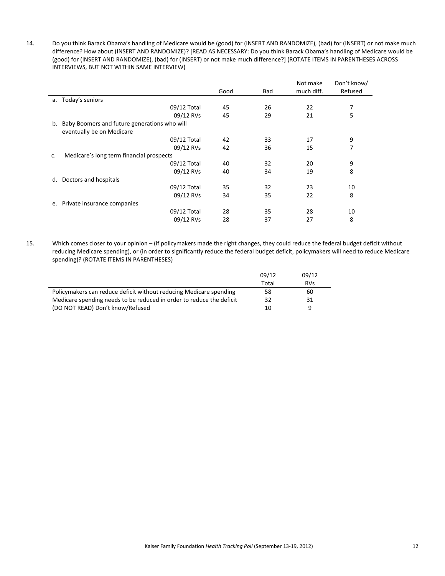14. Do you think Barack Obama's handling of Medicare would be (good) for (INSERT AND RANDOMIZE), (bad) for (INSERT) or not make much difference? How about (INSERT AND RANDOMIZE)? [READ AS NECESSARY: Do you think Barack Obama's handling of Medicare would be (good) for (INSERT AND RANDOMIZE), (bad) for (INSERT) or not make much difference?] (ROTATE ITEMS IN PARENTHESES ACROSS INTERVIEWS, BUT NOT WITHIN SAME INTERVIEW)

|    |                                              |      |     | Not make   | Don't know/ |
|----|----------------------------------------------|------|-----|------------|-------------|
|    |                                              | Good | Bad | much diff. | Refused     |
| a. | Today's seniors                              |      |     |            |             |
|    | 09/12 Total                                  | 45   | 26  | 22         | 7           |
|    | 09/12 RVs                                    | 45   | 29  | 21         | 5           |
| b. | Baby Boomers and future generations who will |      |     |            |             |
|    | eventually be on Medicare                    |      |     |            |             |
|    | 09/12 Total                                  | 42   | 33  | 17         | 9           |
|    | 09/12 RVs                                    | 42   | 36  | 15         | 7           |
| c. | Medicare's long term financial prospects     |      |     |            |             |
|    | 09/12 Total                                  | 40   | 32  | 20         | 9           |
|    | 09/12 RVs                                    | 40   | 34  | 19         | 8           |
| d. | Doctors and hospitals                        |      |     |            |             |
|    | 09/12 Total                                  | 35   | 32  | 23         | 10          |
|    | 09/12 RVs                                    | 34   | 35  | 22         | 8           |
| е. | Private insurance companies                  |      |     |            |             |
|    | 09/12 Total                                  | 28   | 35  | 28         | 10          |
|    | 09/12 RVs                                    | 28   | 37  | 27         | 8           |

15. Which comes closer to your opinion – (if policymakers made the right changes, they could reduce the federal budget deficit without reducing Medicare spending), or (in order to significantly reduce the federal budget deficit, policymakers will need to reduce Medicare spending)? (ROTATE ITEMS IN PARENTHESES)

|                                                                      | 09/12 | 09/12      |
|----------------------------------------------------------------------|-------|------------|
|                                                                      | Total | <b>RVs</b> |
| Policymakers can reduce deficit without reducing Medicare spending   | 58    | 60         |
| Medicare spending needs to be reduced in order to reduce the deficit | 32    | 31         |
| (DO NOT READ) Don't know/Refused                                     | 10    | a          |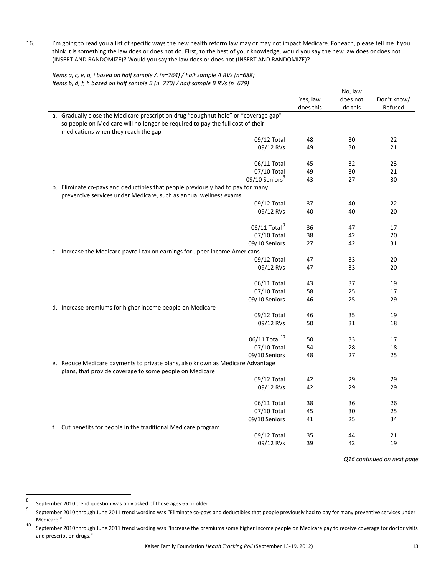16. I'm going to read you a list of specific ways the new health reform law may or may not impact Medicare. For each, please tell me if you think it is something the law does or does not do. First, to the best of your knowledge, would you say the new law does or does not (INSERT AND RANDOMIZE)? Would you say the law does or does not (INSERT AND RANDOMIZE)?

*Items a, c, e, g, i based on half sample A (n=764) / half sample A RVs (n=688) Items b, d, f, h based on half sample B (n=770) / half sample B RVs (n=679)*

|                                                                                     | No, law   |          |             |
|-------------------------------------------------------------------------------------|-----------|----------|-------------|
|                                                                                     | Yes, law  | does not | Don't know/ |
|                                                                                     | does this | do this  | Refused     |
| a. Gradually close the Medicare prescription drug "doughnut hole" or "coverage gap" |           |          |             |
| so people on Medicare will no longer be required to pay the full cost of their      |           |          |             |
| medications when they reach the gap                                                 |           |          |             |
| 09/12 Total                                                                         | 48        | 30       | 22          |
| 09/12 RVs                                                                           | 49        | 30       | 21          |
|                                                                                     |           |          |             |
| 06/11 Total                                                                         | 45        | 32       | 23          |
| 07/10 Total                                                                         | 49        | 30       | 21          |
| 09/10 Seniors <sup>8</sup>                                                          | 43        | 27       | 30          |
| b. Eliminate co-pays and deductibles that people previously had to pay for many     |           |          |             |
| preventive services under Medicare, such as annual wellness exams                   |           |          |             |
| 09/12 Total                                                                         | 37        | 40       | 22          |
| 09/12 RVs                                                                           | 40        | 40       | 20          |
|                                                                                     |           |          |             |
| 06/11 Total <sup>9</sup>                                                            | 36        | 47       | 17          |
| 07/10 Total                                                                         | 38        | 42       | 20          |
| 09/10 Seniors                                                                       | 27        | 42       | 31          |
| c. Increase the Medicare payroll tax on earnings for upper income Americans         |           |          |             |
| 09/12 Total                                                                         | 47        | 33       | 20          |
| 09/12 RVs                                                                           | 47        | 33       | 20          |
|                                                                                     |           |          |             |
| 06/11 Total                                                                         | 43        | 37       | 19          |
| 07/10 Total                                                                         | 58        | 25       | 17          |
| 09/10 Seniors                                                                       | 46        | 25       | 29          |
| d. Increase premiums for higher income people on Medicare                           |           |          |             |
| 09/12 Total                                                                         | 46        | 35       | 19          |
| 09/12 RVs                                                                           | 50        | 31       | 18          |
|                                                                                     |           |          |             |
| 06/11 Total <sup>10</sup>                                                           | 50        | 33       | 17          |
| 07/10 Total                                                                         | 54        | 28       | 18          |
| 09/10 Seniors                                                                       | 48        | 27       | 25          |
| e. Reduce Medicare payments to private plans, also known as Medicare Advantage      |           |          |             |
| plans, that provide coverage to some people on Medicare                             |           |          |             |
| 09/12 Total                                                                         | 42        | 29       | 29          |
| 09/12 RVs                                                                           | 42        | 29       | 29          |
|                                                                                     |           |          |             |
| 06/11 Total                                                                         | 38        | 36       | 26          |
| 07/10 Total                                                                         | 45        | 30       | 25          |
| 09/10 Seniors                                                                       | 41        | 25       | 34          |
| f. Cut benefits for people in the traditional Medicare program                      |           |          |             |
| 09/12 Total                                                                         | 35        | 44       | 21          |
| 09/12 RVs                                                                           | 39        | 42       | 19          |
|                                                                                     |           |          |             |

*Q16 continued on next page*

<sup>8</sup> September 2010 trend question was only asked of those ages 65 or older.

September 2010 through June 2011 trend wording was "Eliminate co-pays and deductibles that people previously had to pay for many preventive services under Medicare."<br><sup>10</sup> September 2010 through June 2011 trend wording was "Increase the premiums some higher income people on Medicare pay to receive coverage for doctor visits

and prescription drugs."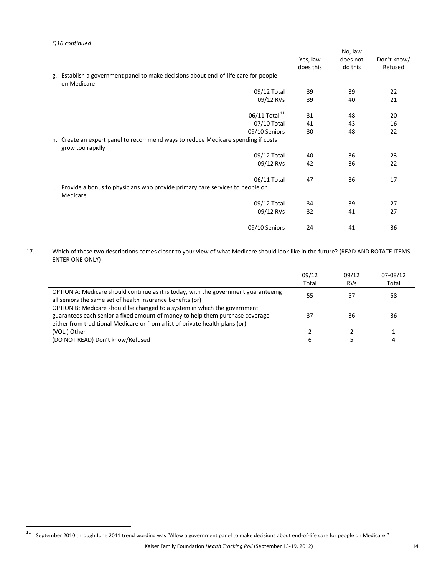|    |                                                                                  | No, law   |          |             |
|----|----------------------------------------------------------------------------------|-----------|----------|-------------|
|    |                                                                                  | Yes, law  | does not | Don't know/ |
|    |                                                                                  | does this | do this  | Refused     |
| g. | Establish a government panel to make decisions about end-of-life care for people |           |          |             |
|    | on Medicare                                                                      |           |          |             |
|    | 09/12 Total                                                                      | 39        | 39       | 22          |
|    | 09/12 RVs                                                                        | 39        | 40       | 21          |
|    |                                                                                  |           |          |             |
|    | 06/11 Total <sup>11</sup>                                                        | 31        | 48       | 20          |
|    | 07/10 Total                                                                      | 41        | 43       | 16          |
|    | 09/10 Seniors                                                                    | 30        | 48       | 22          |
| h. | Create an expert panel to recommend ways to reduce Medicare spending if costs    |           |          |             |
|    | grow too rapidly                                                                 |           |          |             |
|    | 09/12 Total                                                                      | 40        | 36       | 23          |
|    | 09/12 RVs                                                                        | 42        | 36       | 22          |
|    |                                                                                  |           |          |             |
|    | 06/11 Total                                                                      | 47        | 36       | 17          |
| i. | Provide a bonus to physicians who provide primary care services to people on     |           |          |             |
|    | Medicare                                                                         |           |          |             |
|    | 09/12 Total                                                                      | 34        | 39       | 27          |
|    | 09/12 RVs                                                                        | 32        | 41       | 27          |
|    |                                                                                  |           |          |             |
|    | 09/10 Seniors                                                                    | 24        | 41       | 36          |

17. Which of these two descriptions comes closer to your view of what Medicare should look like in the future? (READ AND ROTATE ITEMS. ENTER ONE ONLY)

|                                                                                                                                                                                                                               | 09/12<br>Total | 09/12<br><b>RVs</b> | 07-08/12<br>Total |
|-------------------------------------------------------------------------------------------------------------------------------------------------------------------------------------------------------------------------------|----------------|---------------------|-------------------|
| OPTION A: Medicare should continue as it is today, with the government guaranteeing<br>all seniors the same set of health insurance benefits (or)<br>OPTION B: Medicare should be changed to a system in which the government | 55             | 57                  | 58                |
| guarantees each senior a fixed amount of money to help them purchase coverage<br>either from traditional Medicare or from a list of private health plans (or)                                                                 | 37             | 36                  | 36                |
| (VOL.) Other                                                                                                                                                                                                                  |                |                     |                   |
| (DO NOT READ) Don't know/Refused                                                                                                                                                                                              | b              |                     | 4                 |

<sup>11</sup> September <sup>2010</sup> through June <sup>2011</sup> trend wording was "Allow <sup>a</sup> government panel to make decisions about end‐of‐life care for people on Medicare."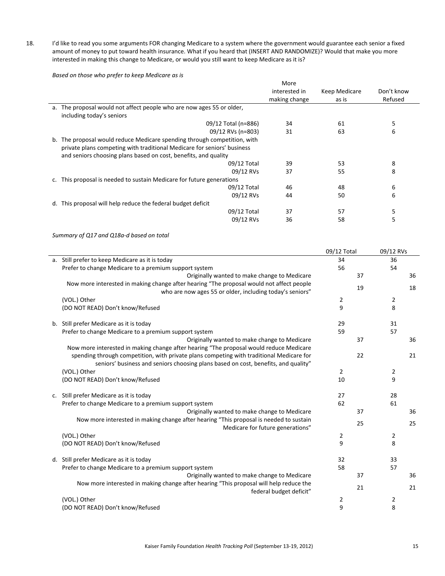18. I'd like to read you some arguments FOR changing Medicare to a system where the government would guarantee each senior a fixed amount of money to put toward health insurance. What if you heard that (INSERT AND RANDOMIZE)? Would that make you more interested in making this change to Medicare, or would you still want to keep Medicare as it is?

*Based on those who prefer to keep Medicare as is*

|                                                                             | More          |               |            |
|-----------------------------------------------------------------------------|---------------|---------------|------------|
|                                                                             | interested in | Keep Medicare | Don't know |
|                                                                             | making change | as is         | Refused    |
| The proposal would not affect people who are now ages 55 or older,<br>a.    |               |               |            |
| including today's seniors                                                   |               |               |            |
| 09/12 Total (n=886)                                                         | 34            | 61            | 5          |
| 09/12 RVs (n=803)                                                           | 31            | 63            | 6          |
| The proposal would reduce Medicare spending through competition, with<br>b. |               |               |            |
| private plans competing with traditional Medicare for seniors' business     |               |               |            |
| and seniors choosing plans based on cost, benefits, and quality             |               |               |            |
| 09/12 Total                                                                 | 39            | 53            | 8          |
| 09/12 RVs                                                                   | 37            | 55            | 8          |
| This proposal is needed to sustain Medicare for future generations          |               |               |            |
| 09/12 Total                                                                 | 46            | 48            | 6          |
| 09/12 RVs                                                                   | 44            | 50            | 6          |
| This proposal will help reduce the federal budget deficit<br>d.             |               |               |            |
| 09/12 Total                                                                 | 37            | 57            | 5          |
| 09/12 RVs                                                                   | 36            | 58            | 5          |
|                                                                             |               |               |            |

*Summary of Q17 and Q18a‐d based on total*

|                                                                                                                            | 09/12 Total    | 09/12 RVs      |
|----------------------------------------------------------------------------------------------------------------------------|----------------|----------------|
| a. Still prefer to keep Medicare as it is today                                                                            | 34             | 36             |
| Prefer to change Medicare to a premium support system                                                                      | 56             | 54             |
| Originally wanted to make change to Medicare                                                                               | 37             | 36             |
| Now more interested in making change after hearing "The proposal would not affect people                                   | 19             | 18             |
| who are now ages 55 or older, including today's seniors"                                                                   |                |                |
| (VOL.) Other                                                                                                               | $\overline{2}$ | $\overline{2}$ |
| (DO NOT READ) Don't know/Refused                                                                                           | 9              | 8              |
| b. Still prefer Medicare as it is today                                                                                    | 29             | 31             |
| Prefer to change Medicare to a premium support system                                                                      | 59             | 57             |
| Originally wanted to make change to Medicare                                                                               | 37             | 36             |
| Now more interested in making change after hearing "The proposal would reduce Medicare                                     |                |                |
| spending through competition, with private plans competing with traditional Medicare for                                   | 22             | 21             |
| seniors' business and seniors choosing plans based on cost, benefits, and quality"                                         |                |                |
| (VOL.) Other                                                                                                               | 2              | 2              |
| (DO NOT READ) Don't know/Refused                                                                                           | 10             | 9              |
| c. Still prefer Medicare as it is today                                                                                    | 27             | 28             |
| Prefer to change Medicare to a premium support system                                                                      | 62             | 61             |
| Originally wanted to make change to Medicare                                                                               | 37             | 36             |
| Now more interested in making change after hearing "This proposal is needed to sustain<br>Medicare for future generations" | 25             | 25             |
| (VOL.) Other                                                                                                               | 2              | $\overline{2}$ |
| (DO NOT READ) Don't know/Refused                                                                                           | 9              | 8              |
| d. Still prefer Medicare as it is today                                                                                    | 32             | 33             |
| Prefer to change Medicare to a premium support system                                                                      | 58             | 57             |
| Originally wanted to make change to Medicare                                                                               | 37             | 36             |
| Now more interested in making change after hearing "This proposal will help reduce the<br>federal budget deficit"          | 21             | 21             |
| (VOL.) Other                                                                                                               | 2              | 2              |
| (DO NOT READ) Don't know/Refused                                                                                           | 9              | 8              |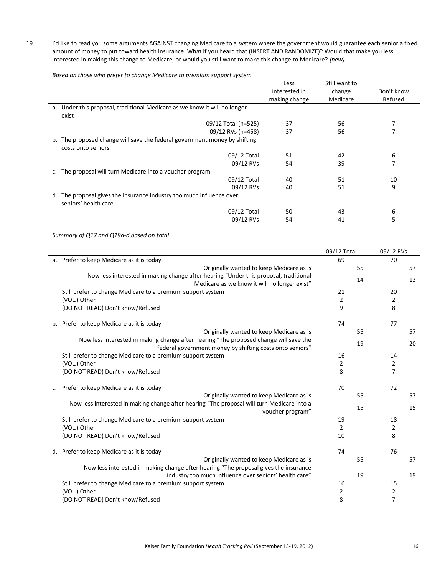19. I'd like to read you some arguments AGAINST changing Medicare to a system where the government would guarantee each senior a fixed amount of money to put toward health insurance. What if you heard that (INSERT AND RANDOMIZE)? Would that make you less interested in making this change to Medicare, or would you still want to make this change to Medicare? *{new}*

*Based on those who prefer to change Medicare to premium support system*

|    | <u>adood on those mno projecto endinge medicale to premium odpport ofotom </u> |               |               |            |
|----|--------------------------------------------------------------------------------|---------------|---------------|------------|
|    |                                                                                | Less          | Still want to |            |
|    |                                                                                | interested in | change        | Don't know |
|    |                                                                                | making change | Medicare      | Refused    |
|    | a. Under this proposal, traditional Medicare as we know it will no longer      |               |               |            |
|    | exist                                                                          |               |               |            |
|    | 09/12 Total (n=525)                                                            | 37            | 56            |            |
|    | 09/12 RVs (n=458)                                                              | 37            | 56            | 7          |
| b. | The proposed change will save the federal government money by shifting         |               |               |            |
|    | costs onto seniors                                                             |               |               |            |
|    | 09/12 Total                                                                    | 51            | 42            | 6          |
|    | 09/12 RVs                                                                      | 54            | 39            | 7          |
|    | The proposal will turn Medicare into a voucher program                         |               |               |            |
|    | 09/12 Total                                                                    | 40            | 51            | 10         |
|    | 09/12 RVs                                                                      | 40            | 51            | 9          |
| d. | The proposal gives the insurance industry too much influence over              |               |               |            |
|    | seniors' health care                                                           |               |               |            |
|    | 09/12 Total                                                                    | 50            | 43            | 6          |
|    | 09/12 RVs                                                                      | 54            | 41            | 5          |
|    |                                                                                |               |               |            |

*Summary of Q17 and Q19a‐d based on total*

|    |                                                                                                                                                   | 09/12 Total    | 09/12 RVs      |
|----|---------------------------------------------------------------------------------------------------------------------------------------------------|----------------|----------------|
|    | a. Prefer to keep Medicare as it is today                                                                                                         | 69             | 70             |
|    | Originally wanted to keep Medicare as is                                                                                                          | 55             | 57             |
|    | Now less interested in making change after hearing "Under this proposal, traditional                                                              | 14             | 13             |
|    | Medicare as we know it will no longer exist"                                                                                                      |                |                |
|    | Still prefer to change Medicare to a premium support system                                                                                       | 21             | 20             |
|    | (VOL.) Other                                                                                                                                      | $\overline{2}$ | $\overline{2}$ |
|    | (DO NOT READ) Don't know/Refused                                                                                                                  | 9              | 8              |
|    | b. Prefer to keep Medicare as it is today                                                                                                         | 74             | 77             |
|    | Originally wanted to keep Medicare as is                                                                                                          | 55             | 57             |
|    | Now less interested in making change after hearing "The proposed change will save the<br>federal government money by shifting costs onto seniors" | 19             | 20             |
|    | Still prefer to change Medicare to a premium support system                                                                                       | 16             | 14             |
|    | (VOL.) Other                                                                                                                                      | $\overline{2}$ | $\overline{2}$ |
|    | (DO NOT READ) Don't know/Refused                                                                                                                  | 8              | $\overline{7}$ |
| C. | Prefer to keep Medicare as it is today                                                                                                            | 70             | 72             |
|    | Originally wanted to keep Medicare as is                                                                                                          | 55             | 57             |
|    | Now less interested in making change after hearing "The proposal will turn Medicare into a<br>voucher program"                                    | 15             | 15             |
|    | Still prefer to change Medicare to a premium support system                                                                                       | 19             | 18             |
|    | (VOL.) Other                                                                                                                                      | $\overline{2}$ | $\overline{2}$ |
|    | (DO NOT READ) Don't know/Refused                                                                                                                  | 10             | 8              |
|    | d. Prefer to keep Medicare as it is today                                                                                                         | 74             | 76             |
|    | Originally wanted to keep Medicare as is                                                                                                          | 55             | 57             |
|    | Now less interested in making change after hearing "The proposal gives the insurance                                                              |                |                |
|    | industry too much influence over seniors' health care"                                                                                            | 19             | 19             |
|    | Still prefer to change Medicare to a premium support system                                                                                       | 16             | 15             |
|    | (VOL.) Other                                                                                                                                      | $\overline{2}$ | 2              |
|    | (DO NOT READ) Don't know/Refused                                                                                                                  | 8              | $\overline{7}$ |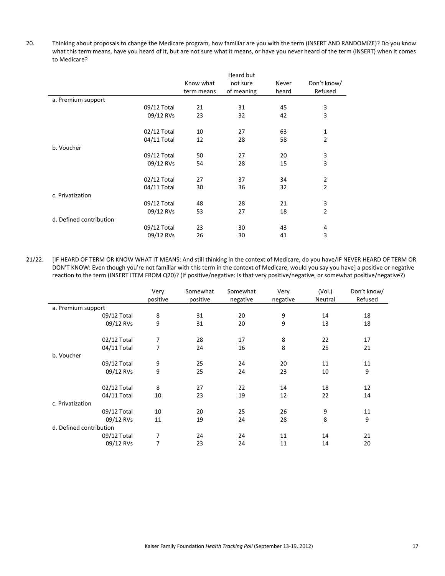20. Thinking about proposals to change the Medicare program, how familiar are you with the term (INSERT AND RANDOMIZE)? Do you know what this term means, have you heard of it, but are not sure what it means, or have you never heard of the term (INSERT) when it comes to Medicare?

|                         |             |            | Heard but  |       |                |
|-------------------------|-------------|------------|------------|-------|----------------|
|                         |             | Know what  | not sure   | Never | Don't know/    |
|                         |             | term means | of meaning | heard | Refused        |
| a. Premium support      |             |            |            |       |                |
|                         | 09/12 Total | 21         | 31         | 45    | 3              |
|                         | 09/12 RVs   | 23         | 32         | 42    | 3              |
|                         | 02/12 Total | 10         | 27         | 63    | $\mathbf{1}$   |
|                         | 04/11 Total | 12         | 28         | 58    | $\overline{2}$ |
| b. Voucher              |             |            |            |       |                |
|                         | 09/12 Total | 50         | 27         | 20    | 3              |
|                         | 09/12 RVs   | 54         | 28         | 15    | 3              |
|                         | 02/12 Total | 27         | 37         | 34    | $\overline{2}$ |
|                         | 04/11 Total | 30         | 36         | 32    | $\overline{2}$ |
| c. Privatization        |             |            |            |       |                |
|                         | 09/12 Total | 48         | 28         | 21    | 3              |
|                         | 09/12 RVs   | 53         | 27         | 18    | $\overline{2}$ |
| d. Defined contribution |             |            |            |       |                |
|                         | 09/12 Total | 23         | 30         | 43    | 4              |
|                         | 09/12 RVs   | 26         | 30         | 41    | 3              |

21/22. [IF HEARD OF TERM OR KNOW WHAT IT MEANS: And still thinking in the context of Medicare, do you have/IF NEVER HEARD OF TERM OR DON'T KNOW: Even though you're not familiar with this term in the context of Medicare, would you say you have] a positive or negative reaction to the term (INSERT ITEM FROM Q20)? (If positive/negative: Is that very positive/negative, or somewhat positive/negative?)

|                         | Very<br>positive | Somewhat<br>positive | Somewhat<br>negative | Very<br>negative | (Vol.)<br>Neutral | Don't know/<br>Refused |
|-------------------------|------------------|----------------------|----------------------|------------------|-------------------|------------------------|
| a. Premium support      |                  |                      |                      |                  |                   |                        |
| 09/12 Total             | 8                | 31                   | 20                   | 9                | 14                | 18                     |
| 09/12 RVs               | 9                | 31                   | 20                   | 9                | 13                | 18                     |
| 02/12 Total             | 7                | 28                   | 17                   | 8                | 22                | 17                     |
| 04/11 Total             | 7                | 24                   | 16                   | 8                | 25                | 21                     |
| b. Voucher              |                  |                      |                      |                  |                   |                        |
| 09/12 Total             | 9                | 25                   | 24                   | 20               | 11                | 11                     |
| 09/12 RVs               | 9                | 25                   | 24                   | 23               | 10                | 9                      |
| 02/12 Total             | 8                | 27                   | 22                   | 14               | 18                | 12                     |
| 04/11 Total             | 10               | 23                   | 19                   | 12               | 22                | 14                     |
| c. Privatization        |                  |                      |                      |                  |                   |                        |
| 09/12 Total             | 10               | 20                   | 25                   | 26               | 9                 | 11                     |
| 09/12 RVs               | 11               | 19                   | 24                   | 28               | 8                 | 9                      |
| d. Defined contribution |                  |                      |                      |                  |                   |                        |
| 09/12 Total             | 7                | 24                   | 24                   | 11               | 14                | 21                     |
| 09/12 RVs               | 7                | 23                   | 24                   | 11               | 14                | 20                     |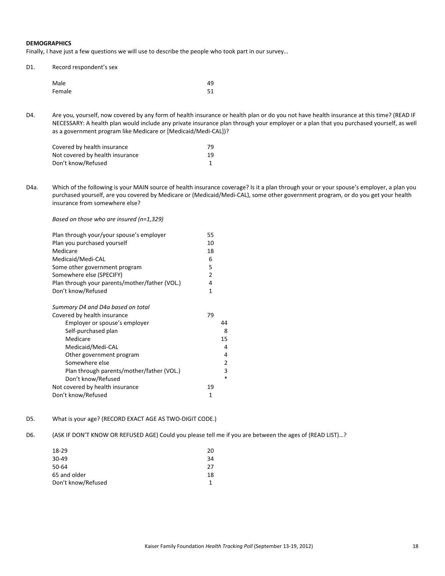#### **DEMOGRAPHICS**

Finally, I have just a few questions we will use to describe the people who took part in our survey…

| D1. | Record respondent's sex |    |  |  |
|-----|-------------------------|----|--|--|
|     | Male                    | 49 |  |  |
|     | Female                  | 51 |  |  |

D4. Are you, yourself, now covered by any form of health insurance or health plan or do you not have health insurance at this time? (READ IF NECESSARY: A health plan would include any private insurance plan through your employer or a plan that you purchased yourself, as well as a government program like Medicare or [Medicaid/Medi‐CAL])?

| Covered by health insurance     | 79 |
|---------------------------------|----|
| Not covered by health insurance | 19 |
| Don't know/Refused              |    |

D4a. Which of the following is your MAIN source of health insurance coverage? Is it a plan through your or your spouse's employer, a plan you purchased yourself, are you covered by Medicare or (Medicaid/Medi‐CAL), some other government program, or do you get your health insurance from somewhere else?

*Based on those who are insured (n=1,329)*

| Plan through your/your spouse's employer       | 55             |
|------------------------------------------------|----------------|
| Plan you purchased yourself                    | 10             |
| Medicare                                       | 18             |
| Medicaid/Medi-CAL                              | 6              |
| Some other government program                  | 5              |
| Somewhere else (SPECIFY)                       | $\overline{2}$ |
| Plan through your parents/mother/father (VOL.) | 4              |
| Don't know/Refused                             | 1              |
| Summary D4 and D4a based on total              |                |
| Covered by health insurance                    | 79             |
| Employer or spouse's employer                  | 44             |
| Self-purchased plan                            | 8              |
| Medicare                                       | 15             |
| Medicaid/Medi-CAL                              | 4              |
| Other government program                       | 4              |
| Somewhere else                                 | 2              |
| Plan through parents/mother/father (VOL.)      | 3              |
| Don't know/Refused                             | $\ast$         |
| Not covered by health insurance                | 19             |
| Don't know/Refused                             | 1              |

- D5. What is your age? (RECORD EXACT AGE AS TWO-DIGIT CODE.)
- D6. (ASK IF DON'T KNOW OR REFUSED AGE) Could you please tell me if you are between the ages of (READ LIST)…?

| 18-29              | 20 |
|--------------------|----|
| 30-49              | 34 |
| 50-64              | 27 |
| 65 and older       | 18 |
| Don't know/Refused |    |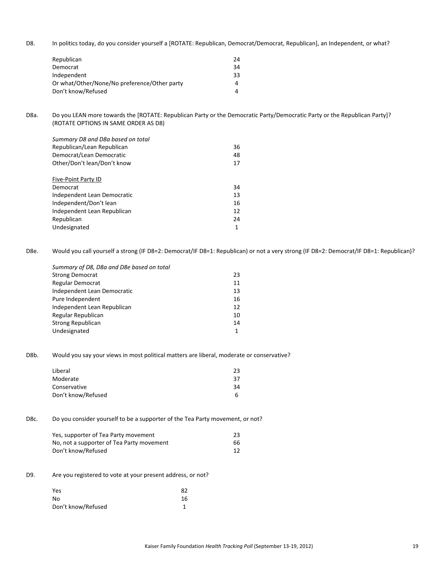D8. In politics today, do you consider yourself a [ROTATE: Republican, Democrat/Democrat, Republican], an Independent, or what?

| Republican                                   | 24 |
|----------------------------------------------|----|
| Democrat                                     | 34 |
| Independent                                  | 33 |
| Or what/Other/None/No preference/Other party | 4  |
| Don't know/Refused                           |    |

D8a. Do you LEAN more towards the [ROTATE: Republican Party or the Democratic Party/Democratic Party or the Republican Party]? (ROTATE OPTIONS IN SAME ORDER AS D8)

| Summary D8 and D8a based on total |    |
|-----------------------------------|----|
| Republican/Lean Republican        | 36 |
| Democrat/Lean Democratic          | 48 |
| Other/Don't lean/Don't know       | 17 |
|                                   |    |
| Five-Point Party ID               |    |
| Democrat                          | 34 |
| Independent Lean Democratic       | 13 |
| Independent/Don't lean            | 16 |
| Independent Lean Republican       | 12 |
| Republican                        | 24 |
| Undesignated                      |    |

D8e. Would you call yourself a strong (IF D8=2: Democrat/IF D8=1: Republican) or not a very strong (IF D8=2: Democrat/IF D8=1: Republican)?

| Summary of D8, D8a and D8e based on total |    |
|-------------------------------------------|----|
| <b>Strong Democrat</b>                    | 23 |
| Regular Democrat                          | 11 |
| <b>Independent Lean Democratic</b>        | 13 |
| Pure Independent                          | 16 |
| Independent Lean Republican               | 12 |
| Regular Republican                        | 10 |
| Strong Republican                         | 14 |
| Undesignated                              | 1  |
|                                           |    |

D8b. Would you say your views in most political matters are liberal, moderate or conservative?

| Liberal            | 23  |
|--------------------|-----|
| Moderate           | -37 |
| Conservative       | 34  |
| Don't know/Refused | h   |

D8c. Do you consider yourself to be a supporter of the Tea Party movement, or not?

| Yes, supporter of Tea Party movement      | 23 |
|-------------------------------------------|----|
| No, not a supporter of Tea Party movement | 66 |
| Don't know/Refused                        |    |

D9. Are you registered to vote at your present address, or not?

| Yes                | 82 |
|--------------------|----|
| No                 | 16 |
| Don't know/Refused |    |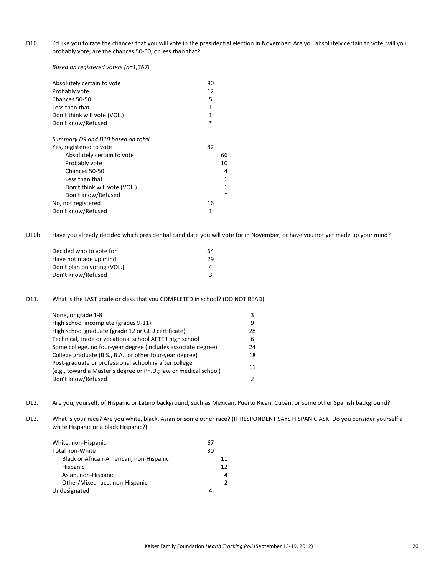D10. I'd like you to rate the chances that you will vote in the presidential election in November: Are you absolutely certain to vote, will you probably vote, are the chances 50‐50, or less than that?

*Based on registered voters (n=1,367)*

| Absolutely certain to vote        | 80 |
|-----------------------------------|----|
| Probably vote                     | 12 |
| Chances 50-50                     | 5  |
| Less than that                    | 1  |
| Don't think will vote (VOL.)      | 1  |
| *<br>Don't know/Refused           |    |
| Summary D9 and D10 based on total |    |
| Yes, registered to vote           | 82 |
| Absolutely certain to vote        | 66 |
| Probably vote                     | 10 |
| Chances 50-50                     | 4  |
| Less than that                    | 1  |
| Don't think will vote (VOL.)      | 1  |
| Don't know/Refused                | *  |
| No, not registered                | 16 |
| Don't know/Refused                | 1  |

D10b. Have you already decided which presidential candidate you will vote for in November, or have you not yet made up your mind?

| 64 |
|----|
| 29 |
|    |
|    |
|    |

D11. What is the LAST grade or class that you COMPLETED in school? (DO NOT READ)

| None, or grade 1-8                                                                                                        | 3  |
|---------------------------------------------------------------------------------------------------------------------------|----|
| High school incomplete (grades 9-11)                                                                                      | q  |
| High school graduate (grade 12 or GED certificate)                                                                        | 28 |
| Technical, trade or vocational school AFTER high school                                                                   | 6. |
| Some college, no four-year degree (includes associate degree)                                                             | 24 |
| College graduate (B.S., B.A., or other four-year degree)                                                                  | 18 |
| Post-graduate or professional schooling after college<br>(e.g., toward a Master's degree or Ph.D.; law or medical school) | 11 |
| Don't know/Refused                                                                                                        | 2  |

D12. Are you, yourself, of Hispanic or Latino background, such as Mexican, Puerto Rican, Cuban, or some other Spanish background?

D13. What is your race? Are you white, black, Asian or some other race? (IF RESPONDENT SAYS HISPANIC ASK: Do you consider yourself a white Hispanic or a black Hispanic?)

| White, non-Hispanic                     |    |
|-----------------------------------------|----|
| Total non-White                         | 30 |
| Black or African-American, non-Hispanic | 11 |
| <b>Hispanic</b>                         | 12 |
| Asian, non-Hispanic                     | 4  |
| Other/Mixed race, non-Hispanic          | 2  |
| Undesignated                            | 4  |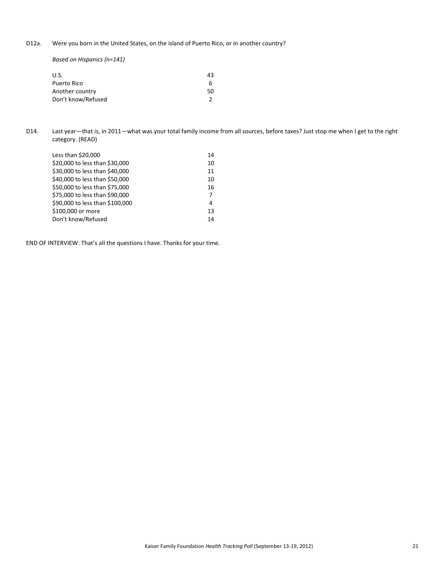D12a. Were you born in the United States, on the island of Puerto Rico, or in another country?

*Based on Hispanics (n=141)*

| U.S.               | 43 |
|--------------------|----|
| Puerto Rico        |    |
| Another country    | 50 |
| Don't know/Refused |    |

D14. Last year—that is, in 2011—what was your total family income from all sources, before taxes? Just stop me when I get to the right category. (READ)

| Less than $$20,000$             | 14 |
|---------------------------------|----|
| \$20,000 to less than \$30,000  | 10 |
| \$30,000 to less than \$40,000  | 11 |
| \$40,000 to less than \$50,000  | 10 |
| \$50,000 to less than \$75,000  | 16 |
| \$75,000 to less than \$90,000  | 7  |
| \$90,000 to less than \$100,000 | 4  |
| \$100,000 or more               | 13 |
| Don't know/Refused              | 14 |

END OF INTERVIEW: That's all the questions I have. Thanks for your time.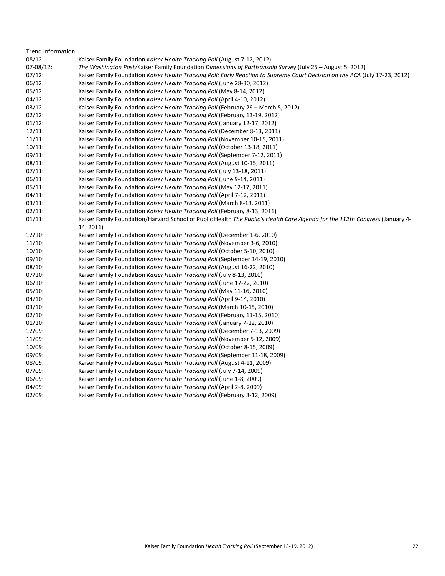| Trend Information: |                                                                                                                              |
|--------------------|------------------------------------------------------------------------------------------------------------------------------|
| 08/12:             | Kaiser Family Foundation Kaiser Health Tracking Poll (August 7-12, 2012)                                                     |
| 07-08/12:          | The Washington Post/Kaiser Family Foundation Dimensions of Partisanship Survey (July 25 – August 5, 2012)                    |
| 07/12:             | Kaiser Family Foundation Kaiser Health Tracking Poll: Early Reaction to Supreme Court Decision on the ACA (July 17-23, 2012) |
| 06/12:             | Kaiser Family Foundation Kaiser Health Tracking Poll (June 28-30, 2012)                                                      |
| 05/12:             | Kaiser Family Foundation Kaiser Health Tracking Poll (May 8-14, 2012)                                                        |
| 04/12:             | Kaiser Family Foundation Kaiser Health Tracking Poll (April 4-10, 2012)                                                      |
| 03/12:             | Kaiser Family Foundation Kaiser Health Tracking Poll (February 29 - March 5, 2012)                                           |
| 02/12:             | Kaiser Family Foundation Kaiser Health Tracking Poll (February 13-19, 2012)                                                  |
| 01/12:             | Kaiser Family Foundation Kaiser Health Tracking Poll (January 12-17, 2012)                                                   |
| 12/11:             | Kaiser Family Foundation Kaiser Health Tracking Poll (December 8-13, 2011)                                                   |
| 11/11:             | Kaiser Family Foundation Kaiser Health Tracking Poll (November 10-15, 2011)                                                  |
| 10/11:             | Kaiser Family Foundation Kaiser Health Tracking Poll (October 13-18, 2011)                                                   |
| 09/11:             | Kaiser Family Foundation Kaiser Health Tracking Poll (September 7-12, 2011)                                                  |
| 08/11:             | Kaiser Family Foundation Kaiser Health Tracking Poll (August 10-15, 2011)                                                    |
| 07/11:             | Kaiser Family Foundation Kaiser Health Tracking Poll (July 13-18, 2011)                                                      |
| 06/11              | Kaiser Family Foundation Kaiser Health Tracking Poll (June 9-14, 2011)                                                       |
| 05/11:             | Kaiser Family Foundation Kaiser Health Tracking Poll (May 12-17, 2011)                                                       |
| 04/11:             | Kaiser Family Foundation Kaiser Health Tracking Poll (April 7-12, 2011)                                                      |
| 03/11:             | Kaiser Family Foundation Kaiser Health Tracking Poll (March 8-13, 2011)                                                      |
| 02/11:             | Kaiser Family Foundation Kaiser Health Tracking Poll (February 8-13, 2011)                                                   |
| 01/11:             | Kaiser Family Foundation/Harvard School of Public Health The Public's Health Care Agenda for the 112th Congress (January 4-  |
|                    | 14, 2011)                                                                                                                    |
| 12/10:             | Kaiser Family Foundation Kaiser Health Tracking Poll (December 1-6, 2010)                                                    |
| 11/10:             | Kaiser Family Foundation Kaiser Health Tracking Poll (November 3-6, 2010)                                                    |
| 10/10:             | Kaiser Family Foundation Kaiser Health Tracking Poll (October 5-10, 2010)                                                    |
| 09/10:             | Kaiser Family Foundation Kaiser Health Tracking Poll (September 14-19, 2010)                                                 |
| 08/10:             | Kaiser Family Foundation Kaiser Health Tracking Poll (August 16-22, 2010)                                                    |
| 07/10:             | Kaiser Family Foundation Kaiser Health Tracking Poll (July 8-13, 2010)                                                       |
| 06/10:             | Kaiser Family Foundation Kaiser Health Tracking Poll (June 17-22, 2010)                                                      |
| 05/10:             | Kaiser Family Foundation Kaiser Health Tracking Poll (May 11-16, 2010)                                                       |
| 04/10:             | Kaiser Family Foundation Kaiser Health Tracking Poll (April 9-14, 2010)                                                      |
| 03/10:             | Kaiser Family Foundation Kaiser Health Tracking Poll (March 10-15, 2010)                                                     |
| 02/10:             | Kaiser Family Foundation Kaiser Health Tracking Poll (February 11-15, 2010)                                                  |
| 01/10:             | Kaiser Family Foundation Kaiser Health Tracking Poll (January 7-12, 2010)                                                    |
| 12/09:             | Kaiser Family Foundation Kaiser Health Tracking Poll (December 7-13, 2009)                                                   |
| 11/09:             | Kaiser Family Foundation Kaiser Health Tracking Poll (November 5-12, 2009)                                                   |
| 10/09:             | Kaiser Family Foundation Kaiser Health Tracking Poll (October 8-15, 2009)                                                    |
| 09/09:             | Kaiser Family Foundation Kaiser Health Tracking Poll (September 11-18, 2009)                                                 |
| 08/09:             | Kaiser Family Foundation Kaiser Health Tracking Poll (August 4-11, 2009)                                                     |
| 07/09:             | Kaiser Family Foundation Kaiser Health Tracking Poll (July 7-14, 2009)                                                       |
| 06/09:             | Kaiser Family Foundation Kaiser Health Tracking Poll (June 1-8, 2009)                                                        |
| 04/09:             | Kaiser Family Foundation Kaiser Health Tracking Poll (April 2-8, 2009)                                                       |
| 02/09:             | Kaiser Family Foundation Kaiser Health Tracking Poll (February 3-12, 2009)                                                   |